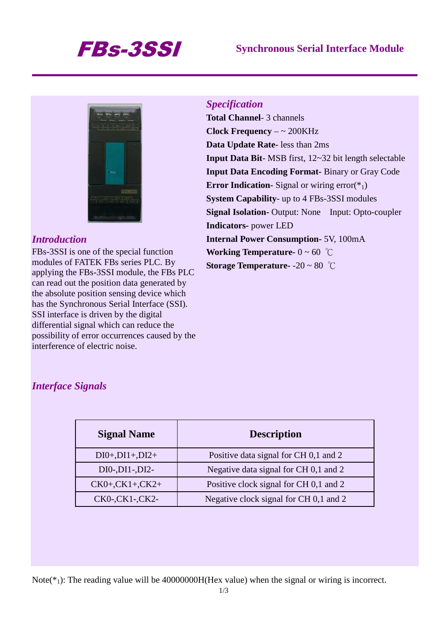# FBs-3SSI **Synchronous Serial Interface Module**



### *Introduction*

FBs-3SSI is one of the special function modules of FATEK FBs series PLC. By applying the FBs-3SSI module, the FBs PLC can read out the position data generated by the absolute position sensing device which has the Synchronous Serial Interface (SSI). SSI interface is driven by the digital differential signal which can reduce the possibility of error occurrences caused by the interference of electric noise.

### *Specification*

**Total Channel**- 3 channels **Clock Frequency** – ~ 200KHz **Data Update Rate-** less than 2ms **Input Data Bit**- MSB first, 12~32 bit length selectable **Input Data Encoding Format-** Binary or Gray Code **Error Indication-** Signal or wiring error( $*_{1}$ ) **System Capability**- up to 4 FBs-3SSI modules **Signal Isolation-** Output: None Input: Opto-coupler **Indicators-** power LED **Internal Power Consumption-** 5V, 100mA **Working Temperature-**  $0 \sim 60$  °C **Storage Temperature-** -20 ~ 80 ℃

### *Interface Signals*

| <b>Signal Name</b> | <b>Description</b>                     |  |  |
|--------------------|----------------------------------------|--|--|
| $DI0+, DI1+, DI2+$ | Positive data signal for CH 0,1 and 2  |  |  |
| $DI0-,DI1-,DI2-$   | Negative data signal for CH 0,1 and 2  |  |  |
| $CK0+, CK1+, CK2+$ | Positive clock signal for CH 0,1 and 2 |  |  |
| CK0-,CK1-,CK2-     | Negative clock signal for CH 0,1 and 2 |  |  |

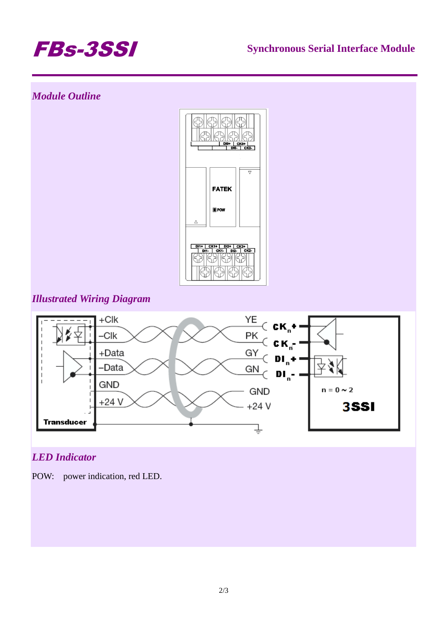

## *Module Outline*



### *Illustrated Wiring Diagram*



## *LED Indicator*

POW: power indication, red LED.